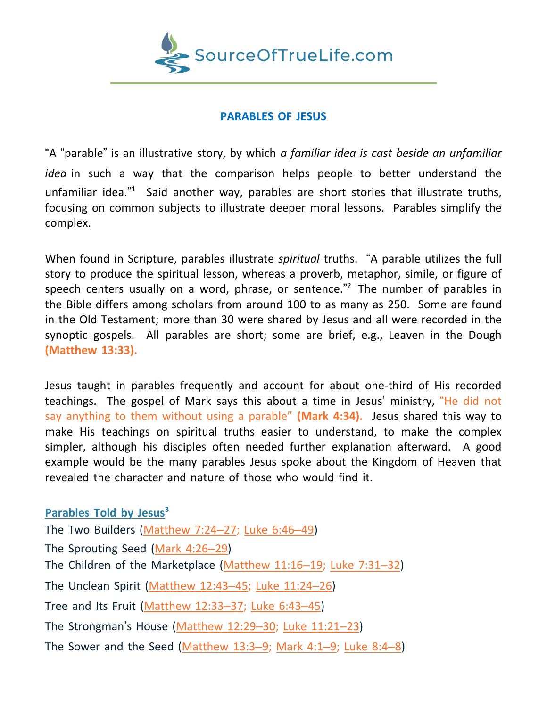

## **PARABLES OF JESUS**

"A "parable" is an illustrative story, by which *a familiar idea is cast beside an unfamiliar idea* in such a way that the comparison helps people to better understand the unfamiliar idea."<sup>1</sup> Said another way, parables are short stories that illustrate truths, focusing on common subjects to illustrate deeper moral lessons. Parables simplify the complex.

When found in Scripture, parables illustrate *spiritual* truths. "A parable utilizes the full story to produce the spiritual lesson, whereas a proverb, metaphor, simile, or figure of speech centers usually on a word, phrase, or sentence."<sup>2</sup> The number of parables in the Bible differs among scholars from around 100 to as many as 250. Some are found in the Old Testament; more than 30 were shared by Jesus and all were recorded in the synoptic gospels. All parables are short; some are brief, e.g., Leaven in the Dough **(Matthew 13:33).**

Jesus taught in parables frequently and account for about one-third of His recorded teachings. The gospel of Mark says this about a time in Jesus' ministry, "He did not say anything to them without using a parable" **(Mark 4:34).** Jesus shared this way to make His teachings on spiritual truths easier to understand, to make the complex simpler, although his disciples often needed further explanation afterward. A good example would be the many parables Jesus spoke about the Kingdom of Heaven that revealed the character and nature of those who would find it.

## **Parables Told by Jesus<sup>3</sup>** The Two Builders [\(Matthew](https://biblia.com/bible/esv/Matt%207.24%E2%80%9327) 7:24-27; [Luke](https://biblia.com/bible/esv/Luke%206.46%E2%80%9349) 6:46-49) The Sprouting Seed [\(Mark](https://biblia.com/bible/esv/Mark%204.26%E2%80%9329) 4:26–29) The Children of the Marketplace [\(Matthew](https://biblia.com/bible/esv/Matt%2011.16%E2%80%9319) 11:16–19; [Luke](https://biblia.com/bible/esv/Luke%207.31%E2%80%9332) 7:31–32) The Unclean Spirit [\(Matthew](https://biblia.com/bible/esv/Matt%2012.43%E2%80%9345) 12:43–45; Luke [11:24](https://biblia.com/bible/esv/Luke%2011.24%E2%80%9326)–26) Tree and Its Fruit [\(Matthew](https://biblia.com/bible/esv/Matt%2012.33%E2%80%9337) 12:33–37; [Luke](https://biblia.com/bible/esv/Luke%206.43%E2%80%9345) 6:43–45)

The Strongman's House [\(Matthew](https://biblia.com/bible/esv/Matt%2012.29%E2%80%9330) 12:29–30; Luke [11:21](https://biblia.com/bible/esv/Luke%2011.21%E2%80%9323)–23)

The Sower and the Seed [\(Matthew](https://biblia.com/bible/esv/Matt%2013.3%E2%80%939) 13:3-9; [Mark](https://biblia.com/bible/esv/Mark%204.1%E2%80%939) 4:1-9; [Luke](https://biblia.com/bible/esv/Luke%208.4%E2%80%938) 8:4-8)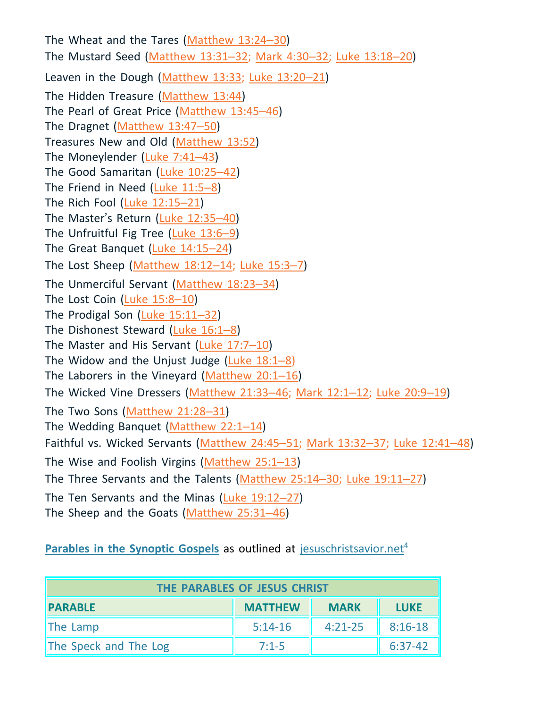The Wheat and the Tares [\(Matthew](https://biblia.com/bible/esv/Matt%2013.24%E2%80%9330) 13:24–30) The Mustard Seed [\(Matthew](https://biblia.com/bible/esv/Matt%2013.31%E2%80%9332) 13:31–32; [Mark](https://biblia.com/bible/esv/Mark%204.30%E2%80%9332) 4:30–32; Luke [13:18](https://biblia.com/bible/esv/Luke%2013.18%E2%80%9320)–20) Leaven in the Dough [\(Matthew](https://biblia.com/bible/esv/Matt%2013.33) 13:33; Luke [13:20](https://biblia.com/bible/esv/Luke%2013.20%E2%80%9321)-21) The Hidden Treasure [\(Matthew](https://biblia.com/bible/esv/Matt%2013.44) 13:44) The Pearl of Great Price [\(Matthew](https://biblia.com/bible/esv/Matt%2013.45%E2%80%9346) 13:45–46) The Dragnet [\(Matthew](https://biblia.com/bible/esv/Matt%2013.47%E2%80%9350) 13:47–50) Treasures New and Old [\(Matthew](https://biblia.com/bible/esv/Matt%2013.52) 13:52) The Moneylender [\(Luke](https://biblia.com/bible/esv/Luke%207.41%E2%80%9343) 7:41–43) The Good Samaritan (Luke [10:25](https://biblia.com/bible/esv/Luke%2010.25%E2%80%9342)–42) The Friend in Need [\(Luke](https://biblia.com/bible/esv/Luke%2011.5%E2%80%938) 11:5–8) The Rich Fool (Luke [12:15](https://biblia.com/bible/esv/Luke%2012.15%E2%80%9321)–21) The Master's Return (Luke [12:35](https://biblia.com/bible/esv/Luke%2012.35%E2%80%9340)–40) The Unfruitful Fig Tree [\(Luke](https://biblia.com/bible/esv/Luke%2013.6%E2%80%939) 13:6–9) The Great Banquet (Luke [14:15](https://biblia.com/bible/esv/Luke%2014.15%E2%80%9324)–24) The Lost Sheep [\(Matthew](https://biblia.com/bible/esv/Matt%2018.12%E2%80%9314) 18:12-14; [Luke](https://biblia.com/bible/esv/Luke%2015.3%E2%80%937) 15:3-7) The Unmerciful Servant [\(Matthew](https://biblia.com/bible/esv/Matt%2018.23%E2%80%9334) 18:23–34) The Lost Coin [\(Luke](https://biblia.com/bible/esv/Luke%2015.8%E2%80%9310) 15:8–10) The Prodigal Son (Luke [15:11](https://biblia.com/bible/esv/Luke%2015.11%E2%80%9332)–32) The Dishonest Steward [\(Luke](https://biblia.com/bible/esv/Luke%2016.1%E2%80%938) 16:1–8) The Master and His Servant [\(Luke](https://biblia.com/bible/esv/Luke%2017.7%E2%80%9310) 17:7–10) The Widow and the Unjust Judge  $(Luke 18:1-8)$  $(Luke 18:1-8)$ The Laborers in the Vineyard [\(Matthew](https://biblia.com/bible/esv/Matt%2020.1%E2%80%9316) 20:1–16) The Wicked Vine Dressers [\(Matthew](https://biblia.com/bible/esv/Matt%2021.33%E2%80%9346) 21:33–46; [Mark](https://biblia.com/bible/esv/Mark%2012.1%E2%80%9312) 12:1–12; [Luke](https://biblia.com/bible/esv/Luke%2020.9%E2%80%9319) 20:9–19) The Two Sons [\(Matthew](https://biblia.com/bible/esv/Matt%2021.28%E2%80%9331) 21:28–31) The Wedding Banquet [\(Matthew](https://biblia.com/bible/esv/Matt%2022.1%E2%80%9314) 22:1–14) Faithful vs. Wicked Servants [\(Matthew](https://biblia.com/bible/esv/Matt%2024.45%E2%80%9351) 24:45–51; Mark [13:32](https://biblia.com/bible/esv/Mark%2013.32%E2%80%9337)–37; Luke [12:41](https://biblia.com/bible/esv/Luke%2012.41%E2%80%9348)–48) The Wise and Foolish Virgins [\(Matthew](https://biblia.com/bible/esv/Matt%2025.1%E2%80%9313) 25:1–13) The Three Servants and the Talents [\(Matthew](https://biblia.com/bible/esv/Matt%2025.14%E2%80%9330) 25:14–30; Luke [19:11](https://biblia.com/bible/esv/Luke%2019.11%E2%80%9327)–27) The Ten Servants and the Minas (Luke [19:12](https://biblia.com/bible/esv/Luke%2019.12%E2%80%9327)–27) The Sheep and the Goats [\(Matthew](https://biblia.com/bible/esv/Matt%2025.31%E2%80%9346) 25:31–46)

**Parables in the Synoptic Gospels** as outlined at jesuschristsavior.net<sup>4</sup>

| THE PARABLES OF JESUS CHRIST |                |             |             |  |
|------------------------------|----------------|-------------|-------------|--|
| <b>PARABLE</b>               | <b>MATTHEW</b> | <b>MARK</b> | <b>LUKE</b> |  |
| The Lamp                     | $5:14-16$      | $4:21-25$   | $8:16-18$   |  |
| The Speck and The Log        | $7:1-5$        |             | $6:37-42$   |  |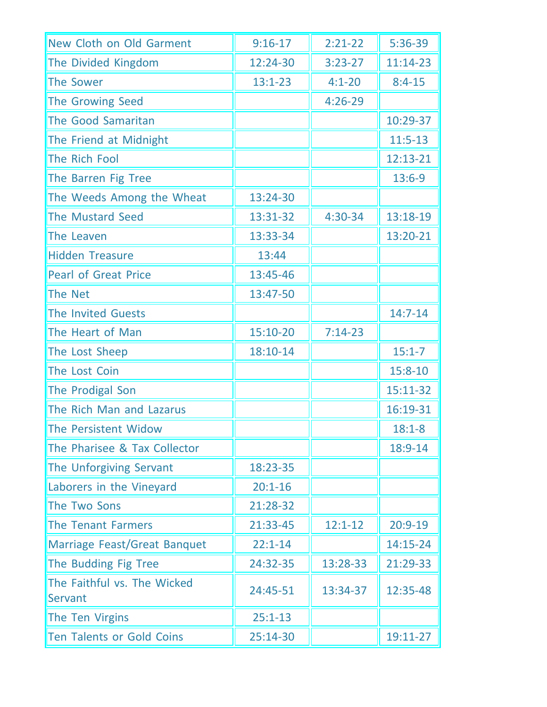| New Cloth on Old Garment               | $9:16-17$   | $2:21-22$   | 5:36-39     |
|----------------------------------------|-------------|-------------|-------------|
| The Divided Kingdom                    | 12:24-30    | $3:23-27$   | 11:14-23    |
| The Sower                              | $13:1 - 23$ | $4:1 - 20$  | $8:4-15$    |
| The Growing Seed                       |             | $4:26-29$   |             |
| The Good Samaritan                     |             |             | 10:29-37    |
| The Friend at Midnight                 |             |             | $11:5-13$   |
| The Rich Fool                          |             |             | 12:13-21    |
| The Barren Fig Tree                    |             |             | $13:6-9$    |
| The Weeds Among the Wheat              | 13:24-30    |             |             |
| <b>The Mustard Seed</b>                | 13:31-32    | $4:30-34$   | 13:18-19    |
| The Leaven                             | 13:33-34    |             | 13:20-21    |
| <b>Hidden Treasure</b>                 | 13:44       |             |             |
| <b>Pearl of Great Price</b>            | 13:45-46    |             |             |
| <b>The Net</b>                         | 13:47-50    |             |             |
| <b>The Invited Guests</b>              |             |             | $14:7-14$   |
| The Heart of Man                       | 15:10-20    | $7:14-23$   |             |
| The Lost Sheep                         | 18:10-14    |             | $15:1 - 7$  |
| The Lost Coin                          |             |             | $15:8 - 10$ |
| The Prodigal Son                       |             |             | 15:11-32    |
| The Rich Man and Lazarus               |             |             | 16:19-31    |
| The Persistent Widow                   |             |             | $18:1 - 8$  |
| The Pharisee & Tax Collector           |             |             | 18:9-14     |
| The Unforgiving Servant                | 18:23-35    |             |             |
| Laborers in the Vineyard               | $20:1 - 16$ |             |             |
| The Two Sons                           | 21:28-32    |             |             |
| <b>The Tenant Farmers</b>              | 21:33-45    | $12:1 - 12$ | $20:9-19$   |
| Marriage Feast/Great Banquet           | $22:1 - 14$ |             | 14:15-24    |
| The Budding Fig Tree                   | 24:32-35    | 13:28-33    | 21:29-33    |
| The Faithful vs. The Wicked<br>Servant | 24:45-51    | 13:34-37    | 12:35-48    |
| The Ten Virgins                        | $25:1 - 13$ |             |             |
| <b>Ten Talents or Gold Coins</b>       | 25:14-30    |             | 19:11-27    |